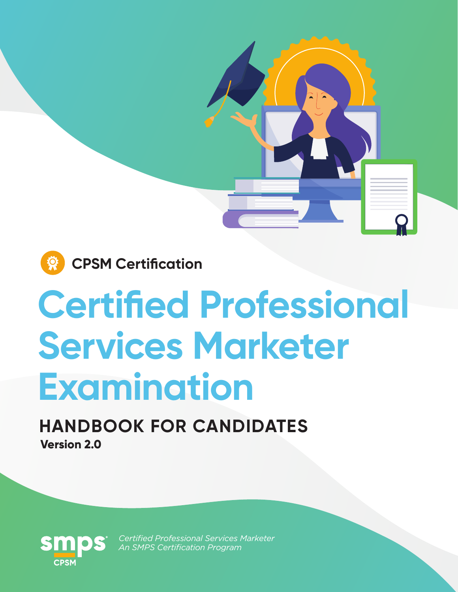

# **Certified Professional Services Marketer Examination**

**HANDBOOK FOR CANDIDATES Version 2.0**



*Certified Professional Services Marketer An SMPS Certification Program*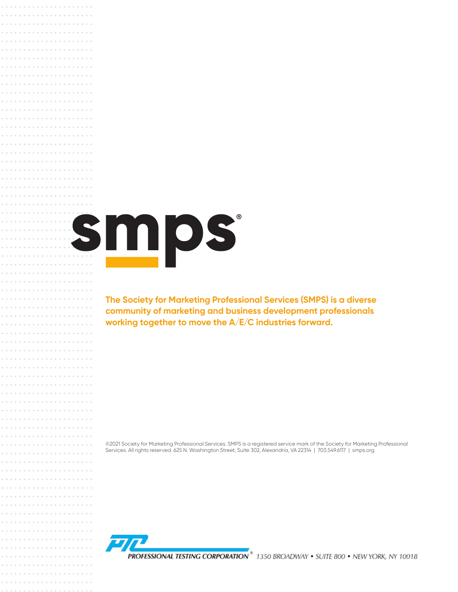# smps

**The Society for Marketing Professional Services (SMPS) is a diverse community of marketing and business development professionals working together to move the A/E/C industries forward.**

©2021 Society for Marketing Professional Services. SMPS is a registered service mark of the Society for Marketing Professional Services. All rights reserved. 625 N. Washington Street, Suite 302, Alexandria, VA 22314 | 703.549.6117 | smps.org

PROFESSIONAL TESTING CORPORATION<sup>®</sup> 1350 BROADWAY • SUITE 800 • NEW YORK. NY 10018

 $-1.11 - 1.11$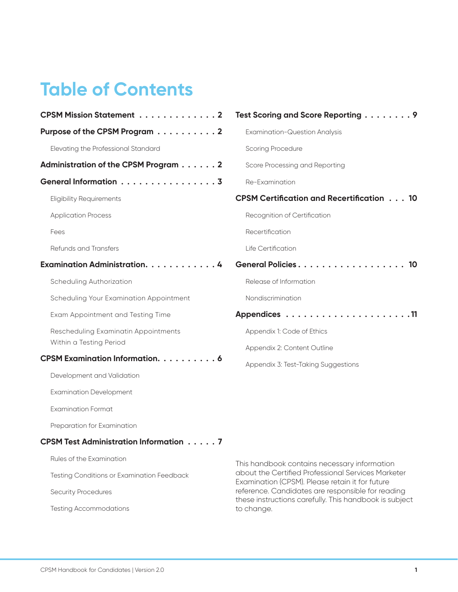# **Table of Contents**

| <b>CPSM Mission Statement 2</b>               | Test Scoring and Score Reporting 9                                                                 |  |
|-----------------------------------------------|----------------------------------------------------------------------------------------------------|--|
| Purpose of the CPSM Program 2                 | <b>Examination-Question Analysis</b>                                                               |  |
| Elevating the Professional Standard           | <b>Scoring Procedure</b>                                                                           |  |
| Administration of the CPSM Program 2          | Score Processing and Reporting                                                                     |  |
| General Information 3                         | Re-Examination                                                                                     |  |
| <b>Eligibility Requirements</b>               | <b>CPSM Certification and Recertification 10</b>                                                   |  |
| <b>Application Process</b>                    | Recognition of Certification                                                                       |  |
| Fees                                          | Recertification                                                                                    |  |
| Refunds and Transfers                         | Life Certification                                                                                 |  |
| Examination Administration. 4                 | General Policies 10                                                                                |  |
| Scheduling Authorization                      | Release of Information                                                                             |  |
| Scheduling Your Examination Appointment       | Nondiscrimination                                                                                  |  |
| Exam Appointment and Testing Time             |                                                                                                    |  |
| Rescheduling Examinatin Appointments          | Appendix 1: Code of Ethics                                                                         |  |
| Within a Testing Period                       | Appendix 2: Content Outline                                                                        |  |
| <b>CPSM Examination Information.</b> 6        | Appendix 3: Test-Taking Suggestions                                                                |  |
| Development and Validation                    |                                                                                                    |  |
| <b>Examination Development</b>                |                                                                                                    |  |
| <b>Examination Format</b>                     |                                                                                                    |  |
| Preparation for Examination                   |                                                                                                    |  |
| <b>CPSM Test Administration Information 7</b> |                                                                                                    |  |
| Rules of the Examination                      | This handbook contains necessary information<br>about the Certified Professional Services Marketer |  |
| Testing Conditions or Examination Feedback    |                                                                                                    |  |

Security Procedures

Testing Accommodations

about the Certified Professional Services Marketer Examination (CPSM). Please retain it for future reference. Candidates are responsible for reading these instructions carefully. This handbook is subject to change.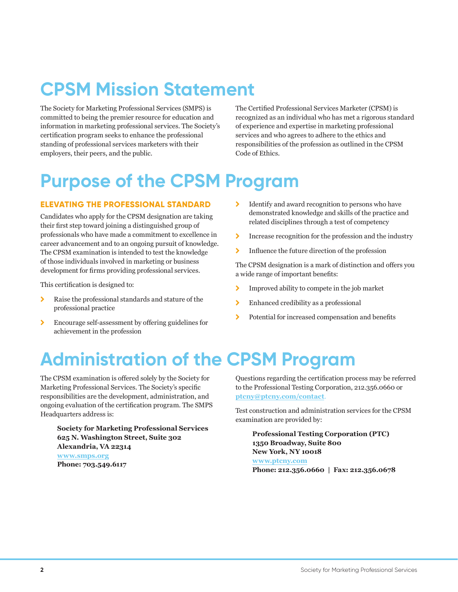# **CPSM Mission Statement**

The Society for Marketing Professional Services (SMPS) is committed to being the premier resource for education and information in marketing professional services. The Society's certification program seeks to enhance the professional standing of professional services marketers with their employers, their peers, and the public.

The Certified Professional Services Marketer (CPSM) is recognized as an individual who has met a rigorous standard of experience and expertise in marketing professional services and who agrees to adhere to the ethics and responsibilities of the profession as outlined in the CPSM Code of Ethics.

# **Purpose of the CPSM Program**

#### **ELEVATING THE PROFESSIONAL STANDARD**

Candidates who apply for the CPSM designation are taking their first step toward joining a distinguished group of professionals who have made a commitment to excellence in career advancement and to an ongoing pursuit of knowledge. The CPSM examination is intended to test the knowledge of those individuals involved in marketing or business development for firms providing professional services.

This certification is designed to:

- \ Raise the professional standards and stature of the professional practice
- \ Encourage self-assessment by offering guidelines for achievement in the profession
- \ Identify and award recognition to persons who have demonstrated knowledge and skills of the practice and related disciplines through a test of competency
- \ Increase recognition for the profession and the industry
- \ Influence the future direction of the profession

The CPSM designation is a mark of distinction and offers you a wide range of important benefits:

- \ Improved ability to compete in the job market
- \ Enhanced credibility as a professional
- \ Potential for increased compensation and benefits

# **Administration of the CPSM Program**

The CPSM examination is offered solely by the Society for Marketing Professional Services. The Society's specific responsibilities are the development, administration, and ongoing evaluation of the certification program. The SMPS Headquarters address is:

**Society for Marketing Professional Services 625 N. Washington Street, Suite 302 Alexandria, VA 22314 www.smps.org Phone: 703.549.6117** 

Questions regarding the certification process may be referred to the Professional Testing Corporation, 212.356.0660 or **ptcny@ptcny.com/contact**.

Test construction and administration services for the CPSM examination are provided by:

**Professional Testing Corporation (PTC) 1350 Broadway, Suite 800 New York, NY 10018 www.ptcny.com Phone: 212.356.0660 | Fax: 212.356.0678**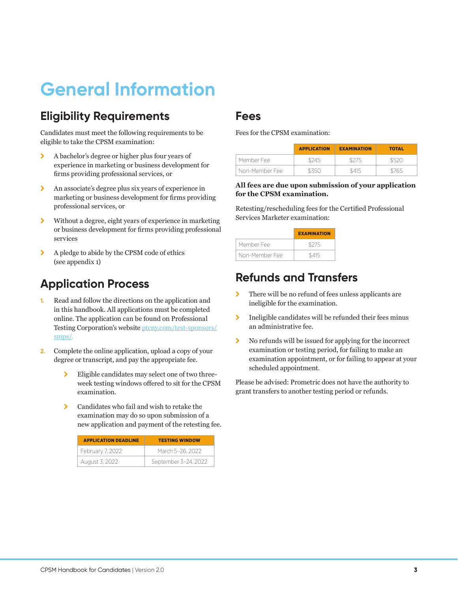# **General Information**

#### **Eligibility Requirements**

Candidates must meet the following requirements to be eligible to take the CPSM examination:

- \ A bachelor's degree or higher plus four years of experience in marketing or business development for firms providing professional services, or
- \ An associate's degree plus six years of experience in marketing or business development for firms providing professional services, or
- \ Without a degree, eight years of experience in marketing or business development for firms providing professional services
- $\blacktriangleright$  A pledge to abide by the CPSM code of ethics (see appendix 1)

#### **Application Process**

- **1.** Read and follow the directions on the application and in this handbook. All applications must be completed online. The application can be found on Professional Testing Corporation's website ptcny.com/test-sponsors/ smps/.
- **2.** Complete the online application, upload a copy of your degree or transcript, and pay the appropriate fee.
	- > Eligible candidates may select one of two threeweek testing windows offered to sit for the CPSM examination.
	- $\sum$  Candidates who fail and wish to retake the examination may do so upon submission of a new application and payment of the retesting fee.

| <b>APPLICATION DEADLINE</b> | <b>TESTING WINDOW</b> |
|-----------------------------|-----------------------|
| February 7, 2022            | March 5-26, 2022      |
| August 3, 2022              | September 3-24, 2022  |

#### **Fees**

Fees for the CPSM examination:

|                | <b>APPLICATION</b> | <b>EXAMINATION</b> | <b>TOTAL</b> |
|----------------|--------------------|--------------------|--------------|
| Member Fee     | \$245              |                    | \$520        |
| Non-Member Fee | 935G               | \$415              | ;765         |

#### **All fees are due upon submission of your application for the CPSM examination.**

Retesting/rescheduling fees for the Certified Professional Services Marketer examination:

|                | <b>EXAMINATION</b> |
|----------------|--------------------|
| Member Fee     | \$275              |
| Non-Member Fee | \$415              |

## **Refunds and Transfers**

- \ There will be no refund of fees unless applicants are ineligible for the examination.
- \ Ineligible candidates will be refunded their fees minus an administrative fee.
- \ No refunds will be issued for applying for the incorrect examination or testing period, for failing to make an examination appointment, or for failing to appear at your scheduled appointment.

Please be advised: Prometric does not have the authority to grant transfers to another testing period or refunds.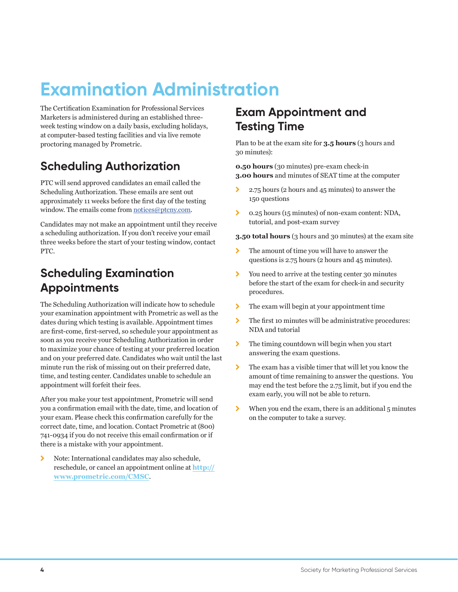# **Examination Administration**

The Certification Examination for Professional Services Marketers is administered during an established threeweek testing window on a daily basis, excluding holidays, at computer-based testing facilities and via live remote proctoring managed by Prometric.

## **Scheduling Authorization**

PTC will send approved candidates an email called the Scheduling Authorization. These emails are sent out approximately 11 weeks before the first day of the testing window. The emails come from notices@ptcny.com.

Candidates may not make an appointment until they receive a scheduling authorization. If you don't receive your email three weeks before the start of your testing window, contact PTC.

#### **Scheduling Examination Appointments**

The Scheduling Authorization will indicate how to schedule your examination appointment with Prometric as well as the dates during which testing is available. Appointment times are first-come, first-served, so schedule your appointment as soon as you receive your Scheduling Authorization in order to maximize your chance of testing at your preferred location and on your preferred date. Candidates who wait until the last minute run the risk of missing out on their preferred date, time, and testing center. Candidates unable to schedule an appointment will forfeit their fees.

After you make your test appointment, Prometric will send you a confirmation email with the date, time, and location of your exam. Please check this confirmation carefully for the correct date, time, and location. Contact Prometric at (800) 741-0934 if you do not receive this email confirmation or if there is a mistake with your appointment.

\ Note: International candidates may also schedule, reschedule, or cancel an appointment online at **http:// www.prometric.com/CMSC**.

## **Exam Appointment and Testing Time**

Plan to be at the exam site for **3.5 hours** (3 hours and 30 minutes):

**0.50 hours** (30 minutes) pre-exam check-in **3.00 hours** and minutes of SEAT time at the computer

- ▶ 2.75 hours (2 hours and 45 minutes) to answer the 150 questions
- \ 0.25 hours (15 minutes) of non-exam content: NDA, tutorial, and post-exam survey

**3.50 total hours** (3 hours and 30 minutes) at the exam site

- \ The amount of time you will have to answer the questions is 2.75 hours (2 hours and 45 minutes).
- \ You need to arrive at the testing center 30 minutes before the start of the exam for check-in and security procedures.
- \ The exam will begin at your appointment time
- \ The first 10 minutes will be administrative procedures: NDA and tutorial
- $\sum$  The timing countdown will begin when you start answering the exam questions.
- \ The exam has a visible timer that will let you know the amount of time remaining to answer the questions. You may end the test before the 2.75 limit, but if you end the exam early, you will not be able to return.
- $\blacktriangleright$  When you end the exam, there is an additional 5 minutes on the computer to take a survey.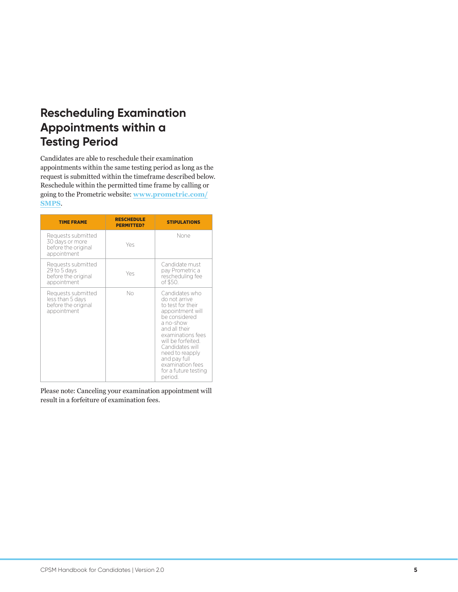## **Rescheduling Examination Appointments within a Testing Period**

Candidates are able to reschedule their examination appointments within the same testing period as long as the request is submitted within the timeframe described below. Reschedule within the permitted time frame by calling or going to the Prometric website: **www.prometric.com/ SMPS**.

| <b>TIME FRAME</b>                                                            | <b>RESCHEDULE</b><br><b>PERMITTED?</b> | <b>STIPULATIONS</b>                                                                                                                                                                                                                                                             |
|------------------------------------------------------------------------------|----------------------------------------|---------------------------------------------------------------------------------------------------------------------------------------------------------------------------------------------------------------------------------------------------------------------------------|
| Requests submitted<br>30 days or more<br>before the original<br>appointment  | Yes                                    | None                                                                                                                                                                                                                                                                            |
| Requests submitted<br>29 to 5 days<br>before the original<br>appointment     | Yes                                    | Candidate must<br>pay Prometric a<br>rescheduling fee<br>of \$50.                                                                                                                                                                                                               |
| Requests submitted<br>less than 5 days<br>before the original<br>appointment | No                                     | Candidates who<br>do not arrive<br>to test for their<br>appointment will<br>be considered<br>a no-show<br>and all their<br>examinations fees<br>will be forfeited.<br>Candidates will<br>need to reapply<br>and pay full<br>examination fees<br>for a future testing<br>period. |

Please note: Canceling your examination appointment will result in a forfeiture of examination fees.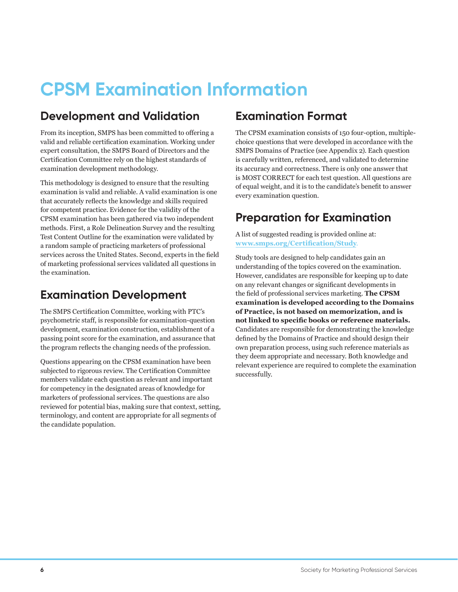# **CPSM Examination Information**

## **Development and Validation**

From its inception, SMPS has been committed to offering a valid and reliable certification examination. Working under expert consultation, the SMPS Board of Directors and the Certification Committee rely on the highest standards of examination development methodology.

This methodology is designed to ensure that the resulting examination is valid and reliable. A valid examination is one that accurately reflects the knowledge and skills required for competent practice. Evidence for the validity of the CPSM examination has been gathered via two independent methods. First, a Role Delineation Survey and the resulting Test Content Outline for the examination were validated by a random sample of practicing marketers of professional services across the United States. Second, experts in the field of marketing professional services validated all questions in the examination.

## **Examination Development**

The SMPS Certification Committee, working with PTC's psychometric staff, is responsible for examination-question development, examination construction, establishment of a passing point score for the examination, and assurance that the program reflects the changing needs of the profession.

Questions appearing on the CPSM examination have been subjected to rigorous review. The Certification Committee members validate each question as relevant and important for competency in the designated areas of knowledge for marketers of professional services. The questions are also reviewed for potential bias, making sure that context, setting, terminology, and content are appropriate for all segments of the candidate population.

## **Examination Format**

The CPSM examination consists of 150 four-option, multiplechoice questions that were developed in accordance with the SMPS Domains of Practice (see Appendix 2). Each question is carefully written, referenced, and validated to determine its accuracy and correctness. There is only one answer that is MOST CORRECT for each test question. All questions are of equal weight, and it is to the candidate's benefit to answer every examination question.

## **Preparation for Examination**

A list of suggested reading is provided online at: **www.smps.org/Certification/Study**.

Study tools are designed to help candidates gain an understanding of the topics covered on the examination. However, candidates are responsible for keeping up to date on any relevant changes or significant developments in the field of professional services marketing. **The CPSM examination is developed according to the Domains of Practice, is not based on memorization, and is not linked to specific books or reference materials.** Candidates are responsible for demonstrating the knowledge defined by the Domains of Practice and should design their own preparation process, using such reference materials as they deem appropriate and necessary. Both knowledge and relevant experience are required to complete the examination successfully.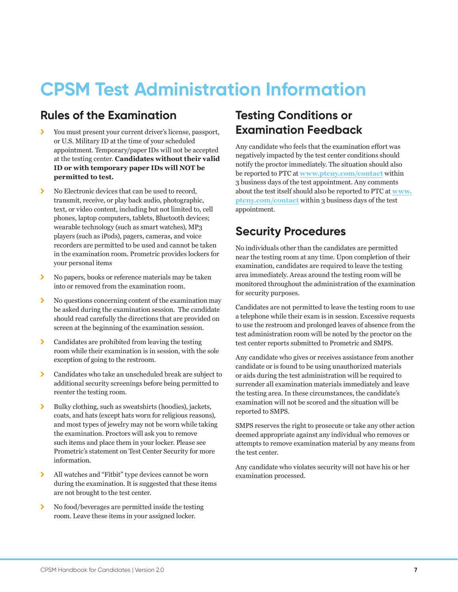# **CPSM Test Administration Information**

#### **Rules of the Examination**

- \ You must present your current driver's license, passport, or U.S. Military ID at the time of your scheduled appointment. Temporary/paper IDs will not be accepted at the testing center. **Candidates without their valid ID or with temporary paper IDs will NOT be permitted to test.**
- $\sum$  No Electronic devices that can be used to record, transmit, receive, or play back audio, photographic, text, or video content, including but not limited to, cell phones, laptop computers, tablets, Bluetooth devices; wearable technology (such as smart watches), MP3 players (such as iPods), pagers, cameras, and voice recorders are permitted to be used and cannot be taken in the examination room. Prometric provides lockers for your personal items
- $\lambda$  No papers, books or reference materials may be taken into or removed from the examination room.
- $\lambda$  No questions concerning content of the examination may be asked during the examination session. The candidate should read carefully the directions that are provided on screen at the beginning of the examination session.
- $\sum$  Candidates are prohibited from leaving the testing room while their examination is in session, with the sole exception of going to the restroom.
- \ Candidates who take an unscheduled break are subject to additional security screenings before being permitted to reenter the testing room.
- $\blacktriangleright$  Bulky clothing, such as sweatshirts (hoodies), jackets, coats, and hats (except hats worn for religious reasons), and most types of jewelry may not be worn while taking the examination. Proctors will ask you to remove such items and place them in your locker. Please see Prometric's statement on Test Center Security for more information.
- \ All watches and "Fitbit" type devices cannot be worn during the examination. It is suggested that these items are not brought to the test center.
- $\lambda$  No food/beverages are permitted inside the testing room. Leave these items in your assigned locker.

## **Testing Conditions or Examination Feedback**

Any candidate who feels that the examination effort was negatively impacted by the test center conditions should notify the proctor immediately. The situation should also be reported to PTC at **www.ptcny.com/contact** within 3 business days of the test appointment. Any comments about the test itself should also be reported to PTC at **www. ptcny.com/contact** within 3 business days of the test appointment.

#### **Security Procedures**

No individuals other than the candidates are permitted near the testing room at any time. Upon completion of their examination, candidates are required to leave the testing area immediately. Areas around the testing room will be monitored throughout the administration of the examination for security purposes.

Candidates are not permitted to leave the testing room to use a telephone while their exam is in session. Excessive requests to use the restroom and prolonged leaves of absence from the test administration room will be noted by the proctor on the test center reports submitted to Prometric and SMPS.

Any candidate who gives or receives assistance from another candidate or is found to be using unauthorized materials or aids during the test administration will be required to surrender all examination materials immediately and leave the testing area. In these circumstances, the candidate's examination will not be scored and the situation will be reported to SMPS.

SMPS reserves the right to prosecute or take any other action deemed appropriate against any individual who removes or attempts to remove examination material by any means from the test center.

Any candidate who violates security will not have his or her examination processed.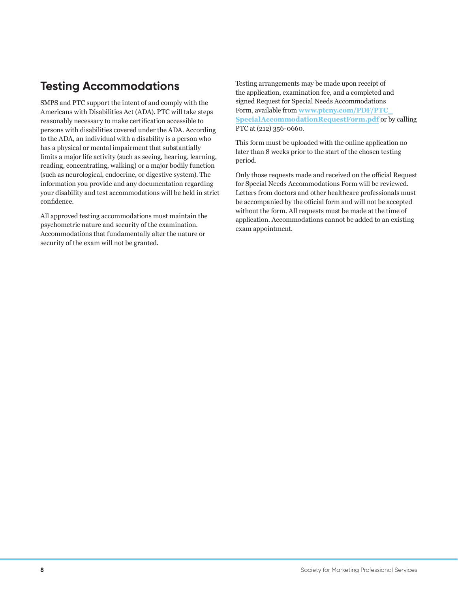## **Testing Accommodations**

SMPS and PTC support the intent of and comply with the Americans with Disabilities Act (ADA). PTC will take steps reasonably necessary to make certification accessible to persons with disabilities covered under the ADA. According to the ADA, an individual with a disability is a person who has a physical or mental impairment that substantially limits a major life activity (such as seeing, hearing, learning, reading, concentrating, walking) or a major bodily function (such as neurological, endocrine, or digestive system). The information you provide and any documentation regarding your disability and test accommodations will be held in strict confidence.

All approved testing accommodations must maintain the psychometric nature and security of the examination. Accommodations that fundamentally alter the nature or security of the exam will not be granted.

Testing arrangements may be made upon receipt of the application, examination fee, and a completed and signed Request for Special Needs Accommodations Form, available from **www.ptcny.com/PDF/PTC\_ SpecialAccommodationRequestForm.pdf** or by calling PTC at (212) 356-0660.

This form must be uploaded with the online application no later than 8 weeks prior to the start of the chosen testing period.

Only those requests made and received on the official Request for Special Needs Accommodations Form will be reviewed. Letters from doctors and other healthcare professionals must be accompanied by the official form and will not be accepted without the form. All requests must be made at the time of application. Accommodations cannot be added to an existing exam appointment.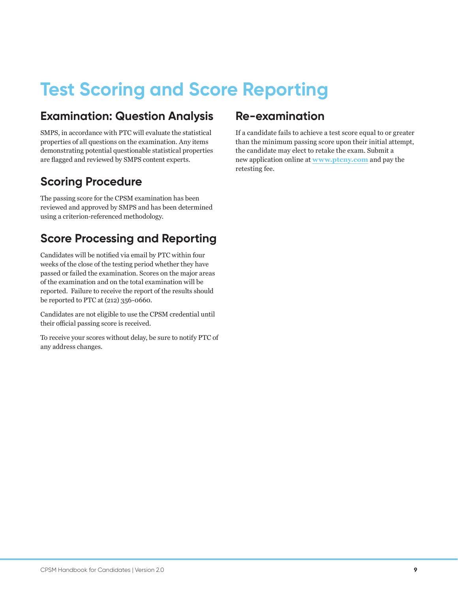# **Test Scoring and Score Reporting**

## **Examination: Question Analysis**

SMPS, in accordance with PTC will evaluate the statistical properties of all questions on the examination. Any items demonstrating potential questionable statistical properties are flagged and reviewed by SMPS content experts.

## **Scoring Procedure**

The passing score for the CPSM examination has been reviewed and approved by SMPS and has been determined using a criterion-referenced methodology.

#### **Score Processing and Reporting**

Candidates will be notified via email by PTC within four weeks of the close of the testing period whether they have passed or failed the examination. Scores on the major areas of the examination and on the total examination will be reported. Failure to receive the report of the results should be reported to PTC at (212) 356-0660.

Candidates are not eligible to use the CPSM credential until their official passing score is received.

To receive your scores without delay, be sure to notify PTC of any address changes.

#### **Re-examination**

If a candidate fails to achieve a test score equal to or greater than the minimum passing score upon their initial attempt, the candidate may elect to retake the exam. Submit a new application online at **www.ptcny.com** and pay the retesting fee.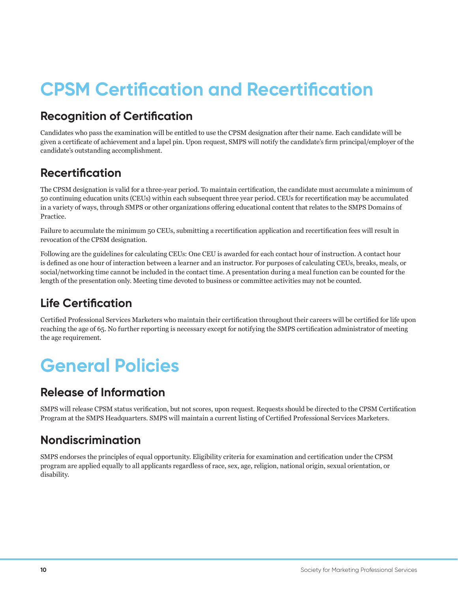# **CPSM Certification and Recertification**

## **Recognition of Certification**

Candidates who pass the examination will be entitled to use the CPSM designation after their name. Each candidate will be given a certificate of achievement and a lapel pin. Upon request, SMPS will notify the candidate's firm principal/employer of the candidate's outstanding accomplishment.

## **Recertification**

The CPSM designation is valid for a three-year period. To maintain certification, the candidate must accumulate a minimum of 50 continuing education units (CEUs) within each subsequent three year period. CEUs for recertification may be accumulated in a variety of ways, through SMPS or other organizations offering educational content that relates to the SMPS Domains of Practice.

Failure to accumulate the minimum 50 CEUs, submitting a recertification application and recertification fees will result in revocation of the CPSM designation.

Following are the guidelines for calculating CEUs: One CEU is awarded for each contact hour of instruction. A contact hour is defined as one hour of interaction between a learner and an instructor. For purposes of calculating CEUs, breaks, meals, or social/networking time cannot be included in the contact time. A presentation during a meal function can be counted for the length of the presentation only. Meeting time devoted to business or committee activities may not be counted.

## **Life Certification**

Certified Professional Services Marketers who maintain their certification throughout their careers will be certified for life upon reaching the age of 65. No further reporting is necessary except for notifying the SMPS certification administrator of meeting the age requirement.

# **General Policies**

## **Release of Information**

SMPS will release CPSM status verification, but not scores, upon request. Requests should be directed to the CPSM Certification Program at the SMPS Headquarters. SMPS will maintain a current listing of Certified Professional Services Marketers.

## **Nondiscrimination**

SMPS endorses the principles of equal opportunity. Eligibility criteria for examination and certification under the CPSM program are applied equally to all applicants regardless of race, sex, age, religion, national origin, sexual orientation, or disability.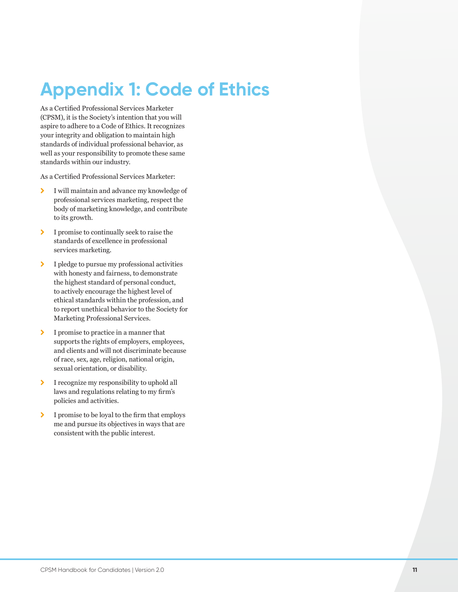# **Appendix 1: Code of Ethics**

As a Certified Professional Services Marketer (CPSM), it is the Society's intention that you will aspire to adhere to a Code of Ethics. It recognizes your integrity and obligation to maintain high standards of individual professional behavior, as well as your responsibility to promote these same standards within our industry.

As a Certified Professional Services Marketer:

- $\sum$  I will maintain and advance my knowledge of professional services marketing, respect the body of marketing knowledge, and contribute to its growth.
- > I promise to continually seek to raise the standards of excellence in professional services marketing.
- $\blacktriangleright$  I pledge to pursue my professional activities with honesty and fairness, to demonstrate the highest standard of personal conduct, to actively encourage the highest level of ethical standards within the profession, and to report unethical behavior to the Society for Marketing Professional Services.
- > I promise to practice in a manner that supports the rights of employers, employees, and clients and will not discriminate because of race, sex, age, religion, national origin, sexual orientation, or disability.
- \ I recognize my responsibility to uphold all laws and regulations relating to my firm's policies and activities.
- \ I promise to be loyal to the firm that employs me and pursue its objectives in ways that are consistent with the public interest.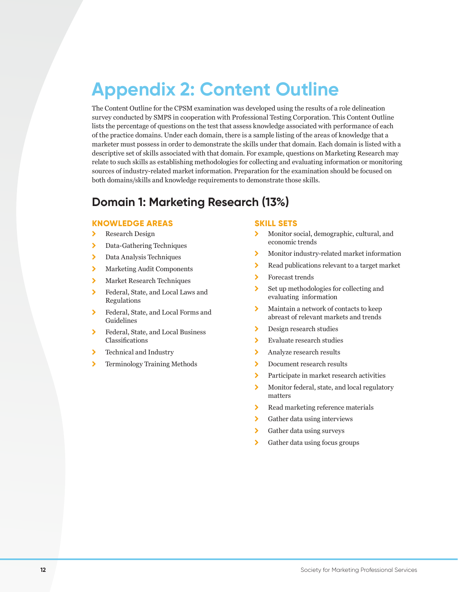# **Appendix 2: Content Outline**

The Content Outline for the CPSM examination was developed using the results of a role delineation survey conducted by SMPS in cooperation with Professional Testing Corporation. This Content Outline lists the percentage of questions on the test that assess knowledge associated with performance of each of the practice domains. Under each domain, there is a sample listing of the areas of knowledge that a marketer must possess in order to demonstrate the skills under that domain. Each domain is listed with a descriptive set of skills associated with that domain. For example, questions on Marketing Research may relate to such skills as establishing methodologies for collecting and evaluating information or monitoring sources of industry-related market information. Preparation for the examination should be focused on both domains/skills and knowledge requirements to demonstrate those skills.

#### **Domain 1: Marketing Research (13%)**

#### **KNOWLEDGE AREAS**

- > Research Design
- > Data-Gathering Techniques
- > Data Analysis Techniques
- \ Marketing Audit Components
- > Market Research Techniques
- \ Federal, State, and Local Laws and Regulations
- \ Federal, State, and Local Forms and Guidelines
- \ Federal, State, and Local Business Classifications
- > Technical and Industry
- > Terminology Training Methods

- > Monitor social, demographic, cultural, and economic trends
- \ Monitor industry-related market information
- \ Read publications relevant to a target market
- \ Forecast trends
- $\sum$  Set up methodologies for collecting and evaluating information
- \ Maintain a network of contacts to keep abreast of relevant markets and trends
- > Design research studies
- $\blacktriangleright$  Evaluate research studies
- > Analyze research results
- > Document research results
- \ Participate in market research activities
- \ Monitor federal, state, and local regulatory matters
- > Read marketing reference materials
- > Gather data using interviews
- \ Gather data using surveys
- \ Gather data using focus groups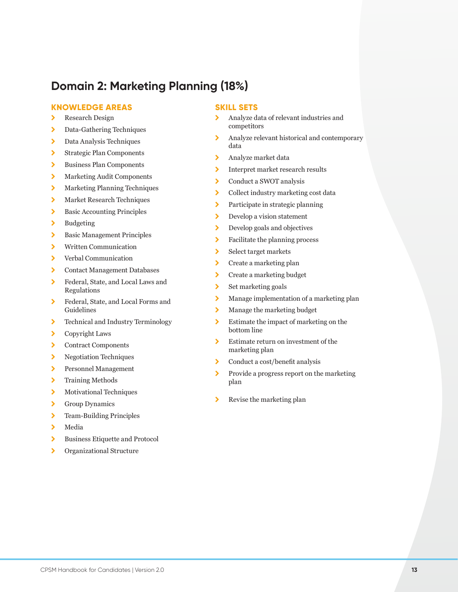## **Domain 2: Marketing Planning (18%)**

#### **KNOWLEDGE AREAS**

- > Research Design
- > Data-Gathering Techniques
- > Data Analysis Techniques
- \ Strategic Plan Components
- \ Business Plan Components
- \ Marketing Audit Components
- \ Marketing Planning Techniques
- > Market Research Techniques
- > Basic Accounting Principles
- > Budgeting
- > Basic Management Principles
- \ Written Communication
- \ Verbal Communication
- \ Contact Management Databases
- \ Federal, State, and Local Laws and Regulations
- \ Federal, State, and Local Forms and Guidelines
- \ Technical and Industry Terminology
- \ Copyright Laws
- \ Contract Components
- \ Negotiation Techniques
- \ Personnel Management
- > Training Methods
- > Motivational Techniques
- \ Group Dynamics
- > Team-Building Principles
- $\blacktriangleright$  Media
- \ Business Etiquette and Protocol
- \ Organizational Structure

- \ Analyze data of relevant industries and competitors
- \ Analyze relevant historical and contemporary data
- > Analyze market data
- \ Interpret market research results
- \ Conduct a SWOT analysis
- \ Collect industry marketing cost data
- > Participate in strategic planning
- > Develop a vision statement
- > Develop goals and objectives
- $\blacktriangleright$  Facilitate the planning process
- \ Select target markets
- > Create a marketing plan
- \ Create a marketing budget
- > Set marketing goals
- > Manage implementation of a marketing plan
- > Manage the marketing budget
- $\sum$  Estimate the impact of marketing on the bottom line
- > Estimate return on investment of the marketing plan
- $\triangleright$  Conduct a cost/benefit analysis
- \ Provide a progress report on the marketing plan
- $\blacktriangleright$  Revise the marketing plan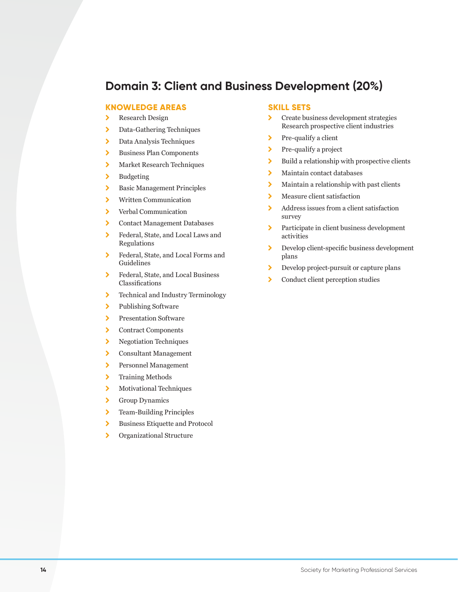#### **Domain 3: Client and Business Development (20%)**

#### **KNOWLEDGE AREAS**

- > Research Design
- > Data-Gathering Techniques
- > Data Analysis Techniques
- \ Business Plan Components
- > Market Research Techniques
- > Budgeting
- > Basic Management Principles
- \ Written Communication
- > Verbal Communication
- \ Contact Management Databases
- \ Federal, State, and Local Laws and Regulations
- \ Federal, State, and Local Forms and Guidelines
- \ Federal, State, and Local Business Classifications
- > Technical and Industry Terminology
- > Publishing Software
- > Presentation Software
- \ Contract Components
- > Negotiation Techniques
- \ Consultant Management
- \ Personnel Management
- > Training Methods
- > Motivational Techniques
- \ Group Dynamics
- > Team-Building Principles
- \ Business Etiquette and Protocol
- > Organizational Structure

- \ Create business development strategies Research prospective client industries
- $\triangleright$  Pre-qualify a client
- > Pre-qualify a project
- $\blacktriangleright$  Build a relationship with prospective clients
- \ Maintain contact databases
- $\blacktriangleright$  Maintain a relationship with past clients
- > Measure client satisfaction
- \ Address issues from a client satisfaction survey
- \ Participate in client business development activities
- \ Develop client-specific business development plans
- \ Develop project-pursuit or capture plans
- \ Conduct client perception studies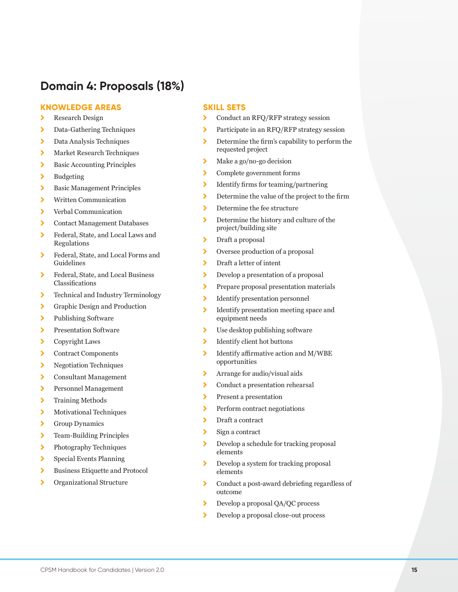#### **Domain 4: Proposals (18%)**

#### **KNOWLEDGE AREAS**

- > Research Design
- > Data-Gathering Techniques
- > Data Analysis Techniques
- > Market Research Techniques
- > Basic Accounting Principles
- > Budgeting
- > Basic Management Principles
- \ Written Communication
- > Verbal Communication
- \ Contact Management Databases
- \ Federal, State, and Local Laws and Regulations
- \ Federal, State, and Local Forms and Guidelines
- \ Federal, State, and Local Business Classifications
- > Technical and Industry Terminology
- \ Graphic Design and Production
- > Publishing Software
- > Presentation Software
- \ Copyright Laws
- \ Contract Components
- > Negotiation Techniques
- \ Consultant Management
- \ Personnel Management
- > Training Methods
- \ Motivational Techniques
- \ Group Dynamics
- > Team-Building Principles
- > Photography Techniques
- \ Special Events Planning
- \ Business Etiquette and Protocol
- \ Organizational Structure

- > Conduct an RFQ/RFP strategy session
- \ Participate in an RFQ/RFP strategy session
- Determine the firm's capability to perform the requested project
- $\blacktriangleright$  Make a go/no-go decision
- \ Complete government forms
- \ Identify firms for teaming/partnering
- \ Determine the value of the project to the firm
- > Determine the fee structure
- Determine the history and culture of the project/building site
- > Draft a proposal
- \ Oversee production of a proposal
- \ Draft a letter of intent
- \ Develop a presentation of a proposal
- > Prepare proposal presentation materials
- \ Identify presentation personnel
- \ Identify presentation meeting space and equipment needs
- $\sum$  Use desktop publishing software
- > Identify client hot buttons
- $\blacktriangleright$  Identify affirmative action and M/WBE opportunities
- > Arrange for audio/visual aids
- \ Conduct a presentation rehearsal
- > Present a presentation
- > Perform contract negotiations
- > Draft a contract
- $\sum$  Sign a contract
- \ Develop a schedule for tracking proposal elements
- \ Develop a system for tracking proposal elements
- \ Conduct a post-award debriefing regardless of outcome
- \ Develop a proposal QA/QC process
- \ Develop a proposal close-out process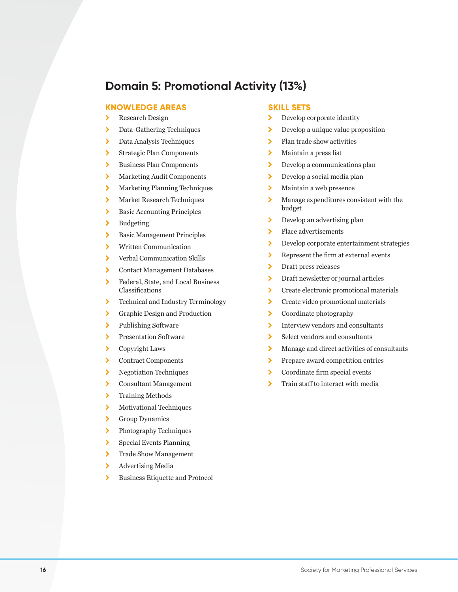#### **Domain 5: Promotional Activity (13%)**

#### **KNOWLEDGE AREAS**

- > Research Design
- > Data-Gathering Techniques
- > Data Analysis Techniques
- \ Strategic Plan Components
- > Business Plan Components
- \ Marketing Audit Components
- > Marketing Planning Techniques
- > Market Research Techniques
- > Basic Accounting Principles
- > Budgeting
- > Basic Management Principles
- \ Written Communication
- \ Verbal Communication Skills
- \ Contact Management Databases
- \ Federal, State, and Local Business Classifications
- > Technical and Industry Terminology
- \ Graphic Design and Production
- > Publishing Software
- > Presentation Software
- \ Copyright Laws
- \ Contract Components
- > Negotiation Techniques
- \ Consultant Management
- > Training Methods
- > Motivational Techniques
- \ Group Dynamics
- > Photography Techniques
- \ Special Events Planning
- > Trade Show Management
- > Advertising Media
- \ Business Etiquette and Protocol

- \ Develop corporate identity
- **Develop a unique value proposition**
- $\blacktriangleright$  Plan trade show activities
- > Maintain a press list
- **>** Develop a communications plan
- > Develop a social media plan
- > Maintain a web presence
- $\lambda$  Manage expenditures consistent with the budget
- $\sum$  Develop an advertising plan
- > Place advertisements
- \ Develop corporate entertainment strategies
- \ Represent the firm at external events
- > Draft press releases
- \ Draft newsletter or journal articles
- \ Create electronic promotional materials
- > Create video promotional materials
- $\blacktriangleright$  Coordinate photography
- \ Interview vendors and consultants
- \ Select vendors and consultants
- \ Manage and direct activities of consultants
- > Prepare award competition entries
- \ Coordinate firm special events
- > Train staff to interact with media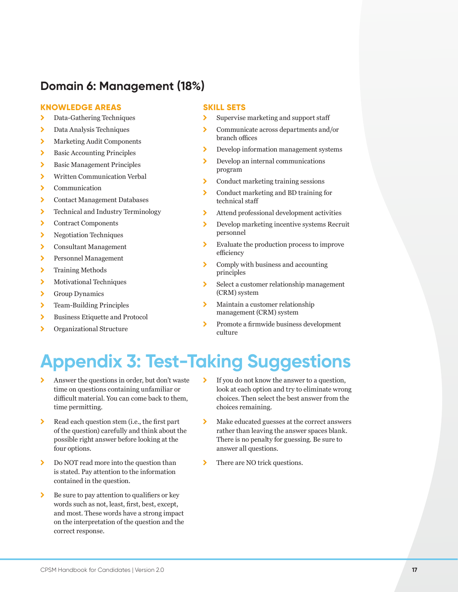## **Domain 6: Management (18%)**

#### **KNOWLEDGE AREAS**

- > Data-Gathering Techniques
- > Data Analysis Techniques
- \ Marketing Audit Components
- > Basic Accounting Principles
- > Basic Management Principles
- \ Written Communication Verbal
- \ Communication
- \ Contact Management Databases
- > Technical and Industry Terminology
- \ Contract Components
- > Negotiation Techniques
- \ Consultant Management
- \ Personnel Management
- > Training Methods
- > Motivational Techniques
- \ Group Dynamics
- > Team-Building Principles
- \ Business Etiquette and Protocol
- > Organizational Structure

#### **SKILL SETS**

- > Supervise marketing and support staff
- \ Communicate across departments and/or branch offices
- \ Develop information management systems
- > Develop an internal communications program
- \ Conduct marketing training sessions
- \ Conduct marketing and BD training for technical staff
- \ Attend professional development activities
- \ Develop marketing incentive systems Recruit personnel
- \ Evaluate the production process to improve efficiency
- \ Comply with business and accounting principles
- \ Select a customer relationship management (CRM) system
- \ Maintain a customer relationship management (CRM) system
- \ Promote a firmwide business development culture

# **Appendix 3: Test-Taking Suggestions**

- \ Answer the questions in order, but don't waste time on questions containing unfamiliar or difficult material. You can come back to them, time permitting.
- \ Read each question stem (i.e., the first part of the question) carefully and think about the possible right answer before looking at the four options.
- $\sum$  Do NOT read more into the question than is stated. Pay attention to the information contained in the question.
- $\triangleright$  Be sure to pay attention to qualifiers or key words such as not, least, first, best, except, and most. These words have a strong impact on the interpretation of the question and the correct response.
- \ If you do not know the answer to a question, look at each option and try to eliminate wrong choices. Then select the best answer from the choices remaining.
- \ Make educated guesses at the correct answers rather than leaving the answer spaces blank. There is no penalty for guessing. Be sure to answer all questions.
- > There are NO trick questions.